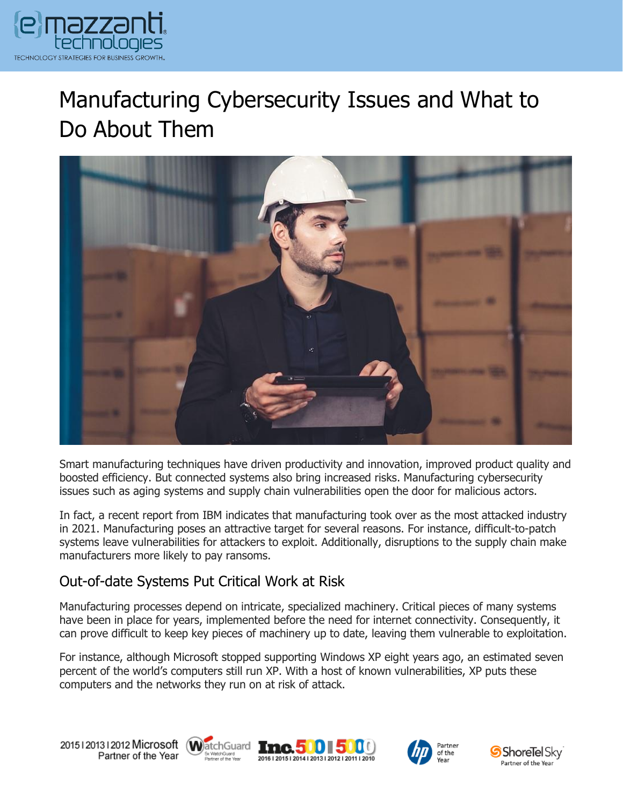

## Manufacturing Cybersecurity Issues and What to Do About Them



Smart manufacturing techniques have driven productivity and innovation, improved product quality and boosted efficiency. But connected systems also bring increased risks. Manufacturing cybersecurity issues such as aging systems and supply chain vulnerabilities open the door for malicious actors.

In fact, a recent report from IBM indicates that manufacturing took over as the most attacked industry in 2021. Manufacturing poses an attractive target for several reasons. For instance, difficult-to-patch systems leave vulnerabilities for attackers to exploit. Additionally, disruptions to the supply chain make manufacturers more likely to pay ransoms.

## Out-of-date Systems Put Critical Work at Risk

Manufacturing processes depend on intricate, specialized machinery. Critical pieces of many systems have been in place for years, implemented before the need for internet connectivity. Consequently, it can prove difficult to keep key pieces of machinery up to date, leaving them vulnerable to exploitation.

For instance, although Microsoft stopped supporting Windows XP eight years ago, an estimated seven percent of the world's computers still run XP. With a host of known vulnerabilities, XP puts these computers and the networks they run on at risk of attack.









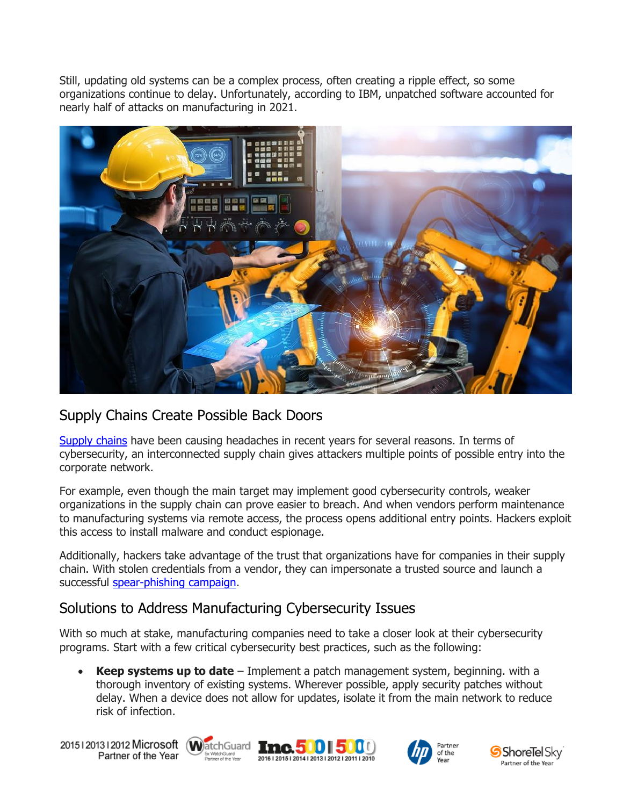Still, updating old systems can be a complex process, often creating a ripple effect, so some organizations continue to delay. Unfortunately, according to IBM, unpatched software accounted for nearly half of attacks on manufacturing in 2021.



## Supply Chains Create Possible Back Doors

[Supply chains](https://www.emazzanti.net/supply-chain-disruptions/) have been causing headaches in recent years for several reasons. In terms of cybersecurity, an interconnected supply chain gives attackers multiple points of possible entry into the corporate network.

For example, even though the main target may implement good cybersecurity controls, weaker organizations in the supply chain can prove easier to breach. And when vendors perform maintenance to manufacturing systems via remote access, the process opens additional entry points. Hackers exploit this access to install malware and conduct espionage.

Additionally, hackers take advantage of the trust that organizations have for companies in their supply chain. With stolen credentials from a vendor, they can impersonate a trusted source and launch a successful [spear-phishing campaign.](https://www.emazzanti.net/spear-phishing-attacks/)

## Solutions to Address Manufacturing Cybersecurity Issues

With so much at stake, manufacturing companies need to take a closer look at their cybersecurity programs. Start with a few critical cybersecurity best practices, such as the following:

• **Keep systems up to date** – Implement a patch management system, beginning. with a thorough inventory of existing systems. Wherever possible, apply security patches without delay. When a device does not allow for updates, isolate it from the main network to reduce risk of infection.

20151201312012 Microsoft WatchGuard **Inc. 500 500** Partner of the Year